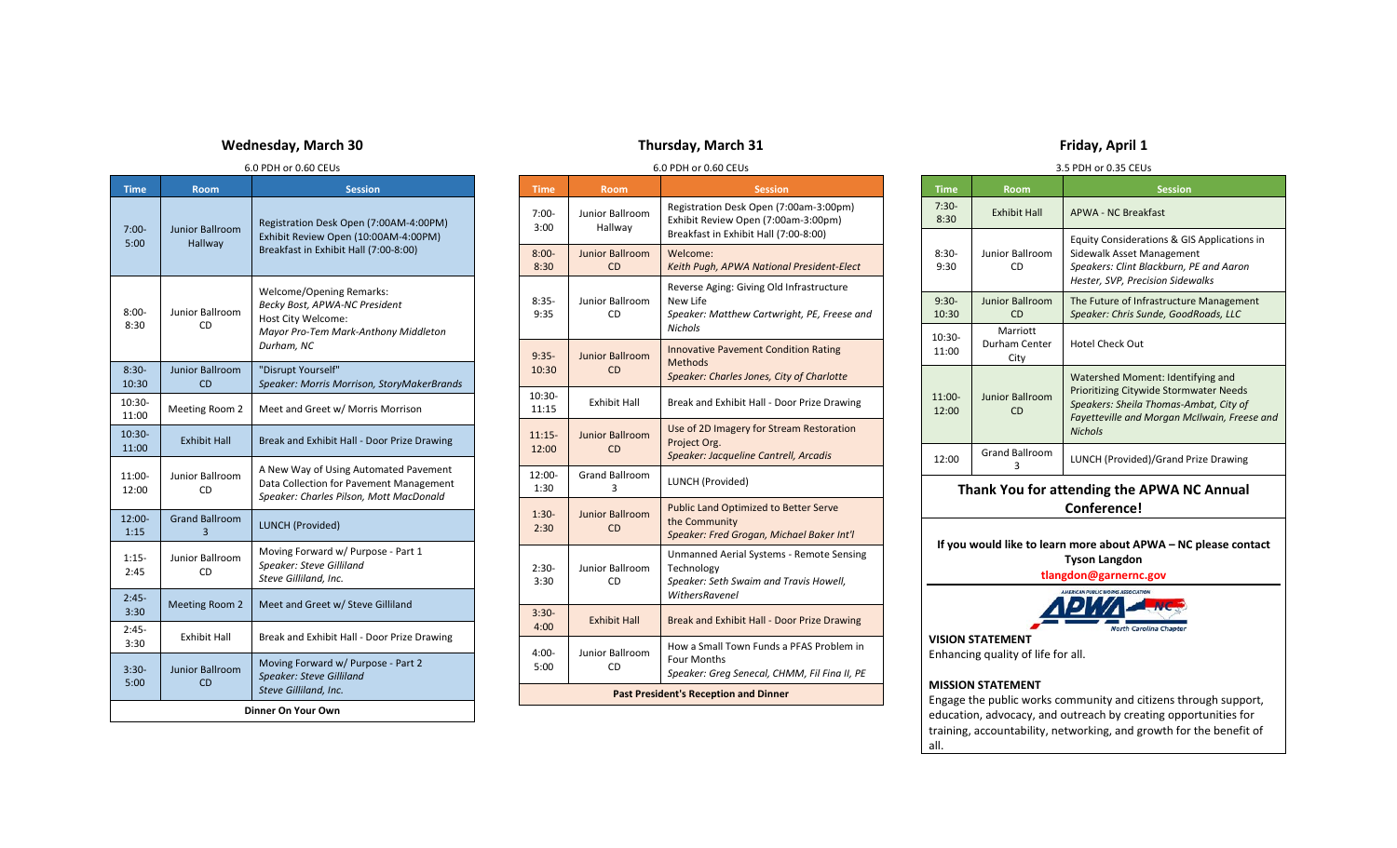## **Wednesday, March 30**

#### 6.0 PDH or 0.60 CEUs

| <b>Time</b>        | <b>Room</b>                       | <b>Session</b>                                                                                                                               |  |
|--------------------|-----------------------------------|----------------------------------------------------------------------------------------------------------------------------------------------|--|
| $7:00-$<br>5:00    | <b>Junior Ballroom</b><br>Hallway | Registration Desk Open (7:00AM-4:00PM)<br>Exhibit Review Open (10:00AM-4:00PM)<br>Breakfast in Exhibit Hall (7:00-8:00)                      |  |
| $8:00-$<br>8:30    | <b>Junior Ballroom</b><br>CD      | <b>Welcome/Opening Remarks:</b><br>Becky Bost, APWA-NC President<br>Host City Welcome:<br>Mayor Pro-Tem Mark-Anthony Middleton<br>Durham, NC |  |
| $8:30-$<br>10:30   | <b>Junior Ballroom</b><br>CD      | "Disrupt Yourself"<br>Speaker: Morris Morrison, StoryMakerBrands                                                                             |  |
| 10:30-<br>11:00    | Meeting Room 2                    | Meet and Greet w/ Morris Morrison                                                                                                            |  |
| $10:30-$<br>11:00  | <b>Exhibit Hall</b>               | Break and Exhibit Hall - Door Prize Drawing                                                                                                  |  |
| 11:00-<br>12:00    | <b>Junior Ballroom</b><br>CD      | A New Way of Using Automated Pavement<br>Data Collection for Pavement Management<br>Speaker: Charles Pilson, Mott MacDonald                  |  |
| $12:00-$<br>1:15   | <b>Grand Ballroom</b><br>3        | <b>LUNCH (Provided)</b>                                                                                                                      |  |
| $1:15-$<br>2:45    | Junior Ballroom<br>CD             | Moving Forward w/ Purpose - Part 1<br>Speaker: Steve Gilliland<br>Steve Gilliland, Inc.                                                      |  |
| $2:45-$<br>3:30    | <b>Meeting Room 2</b>             | Meet and Greet w/ Steve Gilliland                                                                                                            |  |
| $2:45-$<br>3:30    | <b>Exhibit Hall</b>               | Break and Exhibit Hall - Door Prize Drawing                                                                                                  |  |
| $3:30-$<br>5:00    | <b>Junior Ballroom</b><br>CD      | Moving Forward w/ Purpose - Part 2<br><b>Speaker: Steve Gilliland</b><br>Steve Gilliland, Inc.                                               |  |
| Dinner On Your Own |                                   |                                                                                                                                              |  |

# **Thursday, March 31**

#### 6.0 PDH or 0.60 CEUs

| <b>Time</b>                                  | <b>Room</b>                         | <b>Session</b>                                                                                                            |  |
|----------------------------------------------|-------------------------------------|---------------------------------------------------------------------------------------------------------------------------|--|
| $7:00-$<br>3:00                              | Junior Ballroom<br>Hallway          | Registration Desk Open (7:00am-3:00pm)<br>Exhibit Review Open (7:00am-3:00pm)<br>Breakfast in Exhibit Hall (7:00-8:00)    |  |
| $8:00 -$<br>8:30                             | <b>Junior Ballroom</b><br><b>CD</b> | Welcome:<br>Keith Pugh, APWA National President-Elect                                                                     |  |
| $8:35-$<br>9:35                              | Junior Ballroom<br>CD               | Reverse Aging: Giving Old Infrastructure<br>New Life<br>Speaker: Matthew Cartwright, PE, Freese and<br><b>Nichols</b>     |  |
| $9:35-$<br>10:30                             | <b>Junior Ballroom</b><br>CD        | <b>Innovative Pavement Condition Rating</b><br>Methods<br>Speaker: Charles Jones, City of Charlotte                       |  |
| 10:30-<br>11:15                              | <b>Exhibit Hall</b>                 | Break and Exhibit Hall - Door Prize Drawing                                                                               |  |
| $11:15-$<br>12:00                            | <b>Junior Ballroom</b><br><b>CD</b> | Use of 2D Imagery for Stream Restoration<br>Project Org.<br>Speaker: Jacqueline Cantrell, Arcadis                         |  |
| $12:00-$<br>1:30                             | <b>Grand Ballroom</b><br>3          | LUNCH (Provided)                                                                                                          |  |
| $1:30-$<br>2:30                              | <b>Junior Ballroom</b><br><b>CD</b> | <b>Public Land Optimized to Better Serve</b><br>the Community<br>Speaker: Fred Grogan, Michael Baker Int'l                |  |
| $2:30-$<br>3:30                              | Junior Ballroom<br>CD               | Unmanned Aerial Systems - Remote Sensing<br>Technology<br>Speaker: Seth Swaim and Travis Howell,<br><b>WithersRavenel</b> |  |
| $3:30-$<br>4:00                              | <b>Exhibit Hall</b>                 | Break and Exhibit Hall - Door Prize Drawing                                                                               |  |
| $4:00-$<br>5:00                              | Junior Ballroom<br>CD               | How a Small Town Funds a PFAS Problem in<br><b>Four Months</b><br>Speaker: Greg Senecal, CHMM, Fil Fina II, PE            |  |
| <b>Past President's Reception and Dinner</b> |                                     |                                                                                                                           |  |

## **Friday, April 1**

#### 3.5 PDH or 0.35 CEUs

|                                                                                                                 |                                     | <b>טרוויט נייט וויט זייר</b>                                                                                                                                                                   |  |  |
|-----------------------------------------------------------------------------------------------------------------|-------------------------------------|------------------------------------------------------------------------------------------------------------------------------------------------------------------------------------------------|--|--|
| <b>Time</b>                                                                                                     | <b>Room</b>                         | <b>Session</b>                                                                                                                                                                                 |  |  |
| $7:30-$<br>8:30                                                                                                 | <b>Exhibit Hall</b>                 | APWA - NC Breakfast                                                                                                                                                                            |  |  |
| $8:30-$<br>9:30                                                                                                 | Junior Ballroom<br>CD               | Equity Considerations & GIS Applications in<br>Sidewalk Asset Management<br>Speakers: Clint Blackburn, PE and Aaron<br>Hester, SVP, Precision Sidewalks                                        |  |  |
| $9:30-$<br>10:30                                                                                                | <b>Junior Ballroom</b><br><b>CD</b> | The Future of Infrastructure Management<br>Speaker: Chris Sunde, GoodRoads, LLC                                                                                                                |  |  |
| $10:30-$<br>11:00                                                                                               | Marriott<br>Durham Center<br>City   | Hotel Check Out                                                                                                                                                                                |  |  |
| $11:00-$<br>12:00                                                                                               | <b>Junior Ballroom</b><br><b>CD</b> | Watershed Moment: Identifying and<br><b>Prioritizing Citywide Stormwater Needs</b><br>Speakers: Sheila Thomas-Ambat, City of<br>Fayetteville and Morgan McIlwain, Freese and<br><b>Nichols</b> |  |  |
| 12:00                                                                                                           | <b>Grand Ballroom</b><br>3          | LUNCH (Provided)/Grand Prize Drawing                                                                                                                                                           |  |  |
| Thank You for attending the APWA NC Annual<br>Conference!                                                       |                                     |                                                                                                                                                                                                |  |  |
| If you would like to learn more about APWA – NC please contact<br><b>Tyson Langdon</b><br>tlangdon@garnernc.gov |                                     |                                                                                                                                                                                                |  |  |
| <b>ERICAN PUBLIC WORKS ASSOCIATION</b>                                                                          |                                     |                                                                                                                                                                                                |  |  |

**VISION STATEMENT** Enhancing quality of life for all.

#### **MISSION STATEMENT**

Engage the public works community and citizens through support, education, advocacy, and outreach by creating opportunities for training, accountability, networking, and growth for the benefit of all.

North Carolina Chapter